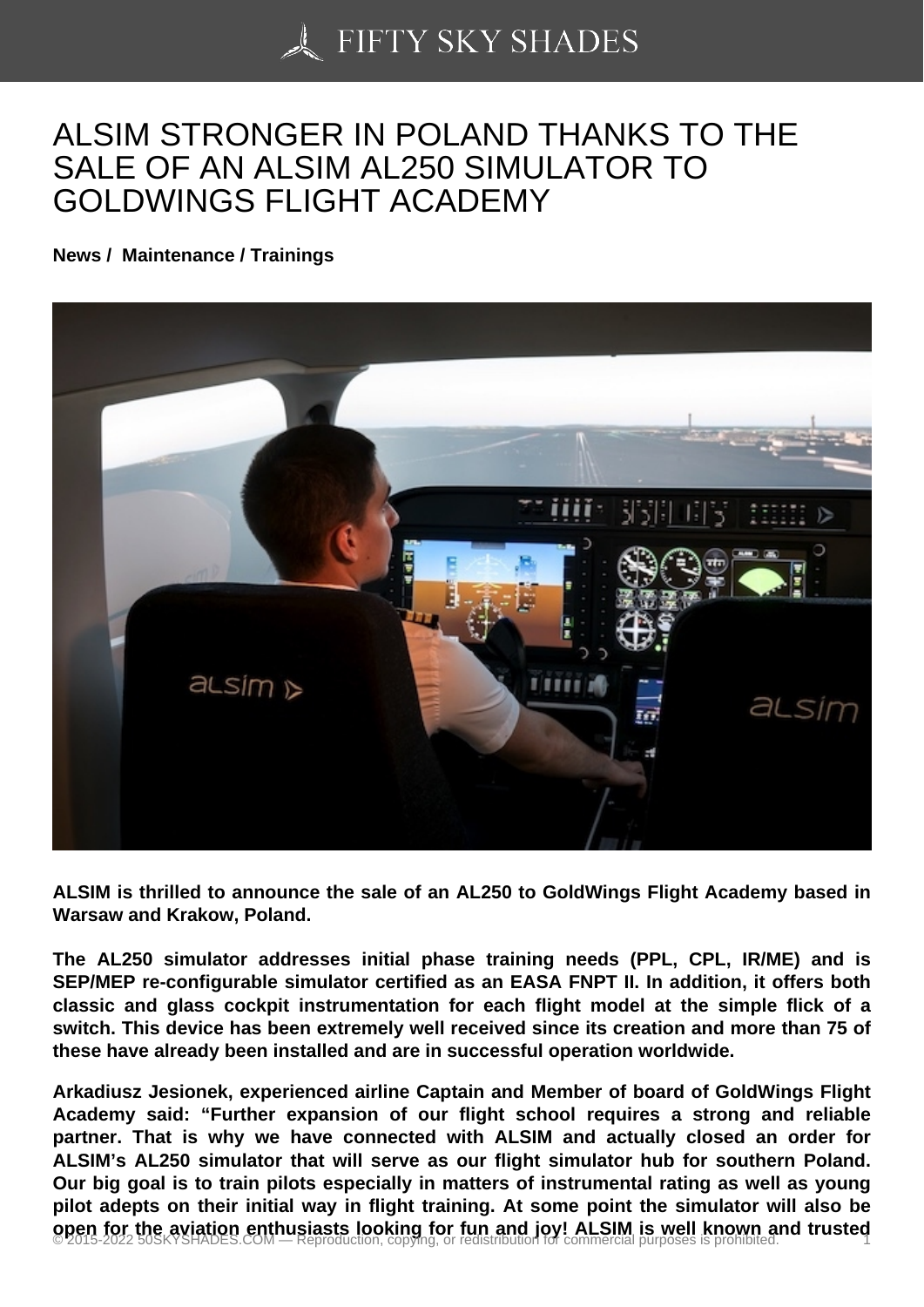## [ALSIM STRONGER IN](https://50skyshades.com) POLAND THANKS TO THE SALE OF AN ALSIM AL250 SIMULATOR TO GOLDWINGS FLIGHT ACADEMY

News / Maintenance / Trainings

ALSIM is thrilled to announce the sale of an AL250 to GoldWings Flight Academy based in Warsaw and Krakow, Poland.

The AL250 simulator addresses initial phase training needs (PPL, CPL, IR/ME) and is SEP/MEP re-configurable simulator certified as an EASA FNPT II. In addition, it offers both classic and glass cockpit instrumentation for each flight model at the simple flick of a switch. This device has been extremely well received since its creation and more than 75 of these have already been installed and are in successful operation worldwide.

Arkadiusz Jesionek, experienced airline Captain and Member of board of GoldWings Flight Academy said: "Further expansion of our flight school requires a strong and reliable partner. That is why we have connected with ALSIM and actually closed an order for ALSIM's AL250 simulator that will serve as our flight simulator hub for southern Poland. Our big goal is to train pilots especially in matters of instrumental rating as well as young pilot adepts on their initial way in flight training. At some point the simulator will also be open for the aviation enthusiasts looking for fun and joy! ALSIM is well known and trusted  $\frac{1}{2}$  2015-2022 50SKYSHADES.COM — Reproduction, copying, or redistribution for commercial purposes is prohibited.